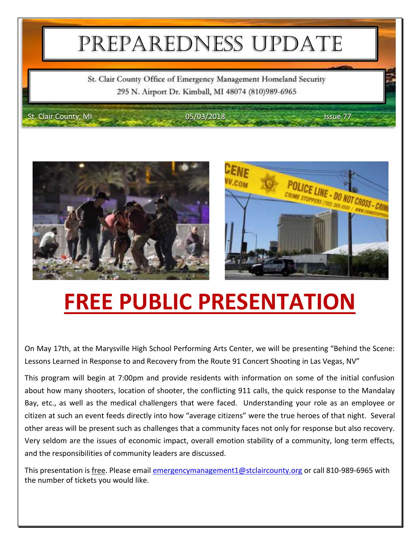## PREPAREDNESS UPDATE

St. Clair County Office of Emergency Management Homeland Security 295 N. Airport Dr. Kimball, MI 48074 (810)989-6965

St. Clair County, MI 05/03/2018 **ISSUE 77** 







# **FREE PUBLIC PRESENTATION**

On May 17th, at the Marysville High School Performing Arts Center, we will be presenting "Behind the Scene: Lessons Learned in Response to and Recovery from the Route 91 Concert Shooting in Las Vegas, NV"

This program will begin at 7:00pm and provide residents with information on some of the initial confusion about how many shooters, location of shooter, the conflicting 911 calls, the quick response to the Mandalay Bay, etc., as well as the medical challengers that were faced. Understanding your role as an employee or citizen at such an event feeds directly into how "average citizens" were the true heroes of that night. Several other areas will be present such as challenges that a community faces not only for response but also recovery. Very seldom are the issues of economic impact, overall emotion stability of a community, long term effects, and the responsibilities of community leaders are discussed.

This presentation is free. Please email [emergencymanagement1@stclaircounty.org](mailto:emergencymanagement1@stclaircounty.org) or call 810-989-6965 with the number of tickets you would like.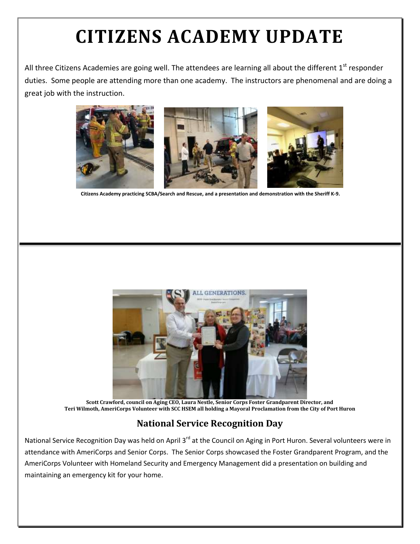## **CITIZENS ACADEMY UPDATE**

All three Citizens Academies are going well. The attendees are learning all about the different  $1^{\text{st}}$  responder duties. Some people are attending more than one academy. The instructors are phenomenal and are doing a great job with the instruction.



**Citizens Academy practicing SCBA/Search and Rescue, and a presentation and demonstration with the Sheriff K-9.** 



**Scott Crawford, council on Aging CEO, Laura Nestle, Senior Corps Foster Grandparent Director, and Teri Wilmoth, AmeriCorps Volunteer with SCC HSEM all holding a Mayoral Proclamation from the City of Port Huron**

#### **National Service Recognition Day**

National Service Recognition Day was held on April 3<sup>rd</sup> at the Council on Aging in Port Huron. Several volunteers were in attendance with AmeriCorps and Senior Corps. The Senior Corps showcased the Foster Grandparent Program, and the AmeriCorps Volunteer with Homeland Security and Emergency Management did a presentation on building and maintaining an emergency kit for your home.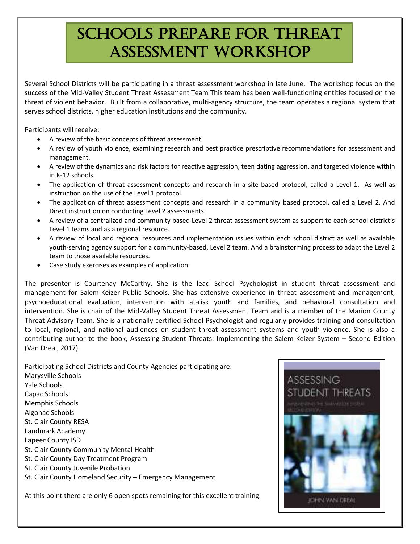### SCHOOLS PREPARE FOR THREAT ASSESSMENT WORKSHOP

Several School Districts will be participating in a threat assessment workshop in late June. The workshop focus on the success of the Mid-Valley Student Threat Assessment Team This team has been well-functioning entities focused on the threat of violent behavior. Built from a collaborative, multi-agency structure, the team operates a regional system that serves school districts, higher education institutions and the community.

Participants will receive:

- A review of the basic concepts of threat assessment.
- A review of youth violence, examining research and best practice prescriptive recommendations for assessment and management.
- A review of the dynamics and risk factors for reactive aggression, teen dating aggression, and targeted violence within in K-12 schools.
- The application of threat assessment concepts and research in a site based protocol, called a Level 1. As well as instruction on the use of the Level 1 protocol.
- The application of threat assessment concepts and research in a community based protocol, called a Level 2. And Direct instruction on conducting Level 2 assessments.
- A review of a centralized and community based Level 2 threat assessment system as support to each school district's Level 1 teams and as a regional resource.
- A review of local and regional resources and implementation issues within each school district as well as available youth-serving agency support for a community-based, Level 2 team. And a brainstorming process to adapt the Level 2 team to those available resources.
- Case study exercises as examples of application.

The presenter is Courtenay McCarthy. She is the lead School Psychologist in student threat assessment and management for Salem-Keizer Public Schools. She has extensive experience in threat assessment and management, psychoeducational evaluation, intervention with at-risk youth and families, and behavioral consultation and intervention. She is chair of the Mid-Valley Student Threat Assessment Team and is a member of the Marion County Threat Advisory Team. She is a nationally certified School Psychologist and regularly provides training and consultation to local, regional, and national audiences on student threat assessment systems and youth violence. She is also a contributing author to the book, Assessing Student Threats: Implementing the Salem-Keizer System – Second Edition (Van Dreal, 2017).

Participating School Districts and County Agencies participating are: Marysville Schools Yale Schools Capac Schools Memphis Schools Algonac Schools St. Clair County RESA Landmark Academy Lapeer County ISD St. Clair County Community Mental Health St. Clair County Day Treatment Program St. Clair County Juvenile Probation St. Clair County Homeland Security – Emergency Management

At this point there are only 6 open spots remaining for this excellent training.

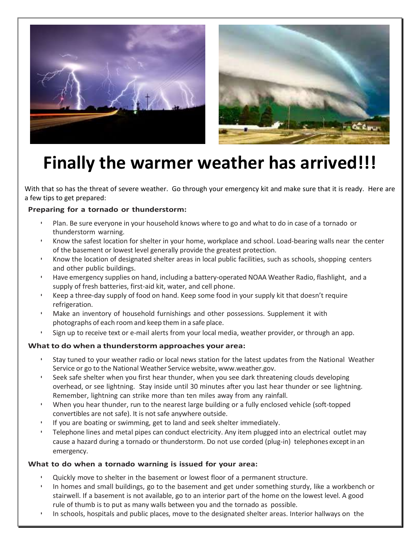



### **Finally the warmer weather has arrived!!!**

With that so has the threat of severe weather. Go through your emergency kit and make sure that it is ready. Here are a few tips to get prepared:

#### **Preparing for a tornado or thunderstorm:**

- Plan. Be sure everyone in your household knows where to go and what to do in case of a tornado or thunderstorm warning.
- Know the safest location for shelter in your home, workplace and school. Load-bearing walls near the center of the basement or lowest level generally provide the greatest protection.
- Know the location of designated shelter areas in local public facilities, such as schools, shopping centers and other public buildings.
- Have emergency supplies on hand, including a battery-operated NOAA Weather Radio, flashlight, and a supply of fresh batteries, first-aid kit, water, and cell phone.
- Keep a three-day supply of food on hand. Keep some food in your supply kit that doesn't require refrigeration.
- Make an inventory of household furnishings and other possessions. Supplement it with photographs of each room and keep them in a safe place.
- Sign up to receive text or e-mail alerts from your local media, weather provider, or through an app.

#### **What to do when a thunderstorm approaches your area:**

- Stay tuned to your weather radio or local news station for the latest updates from the National Weather Service or go to the National Weather Service website, [www.weather.gov.](http://www.weather.gov/)
- Seek safe shelter when you first hear thunder, when you see dark threatening clouds developing overhead, or see lightning. Stay inside until 30 minutes after you last hear thunder or see lightning. Remember, lightning can strike more than ten miles away from any rainfall.
- When you hear thunder, run to the nearest large building or a fully enclosed vehicle (soft-topped convertibles are not safe). It is not safe anywhere outside.
- If you are boating or swimming, get to land and seek shelter immediately.
- Telephone lines and metal pipes can conduct electricity. Any item plugged into an electrical outlet may cause a hazard during a tornado or thunderstorm. Do not use corded (plug-in) telephones exceptin an emergency.

#### **What to do when a tornado warning is issued for your area:**

- Quickly move to shelter in the basement or lowest floor of a permanent structure.
- In homes and small buildings, go to the basement and get under something sturdy, like a workbench or stairwell. If a basement is not available, go to an interior part of the home on the lowest level. A good rule of thumb is to put as many walls between you and the tornado as possible.
- In schools, hospitals and public places, move to the designated shelter areas. Interior hallways on the